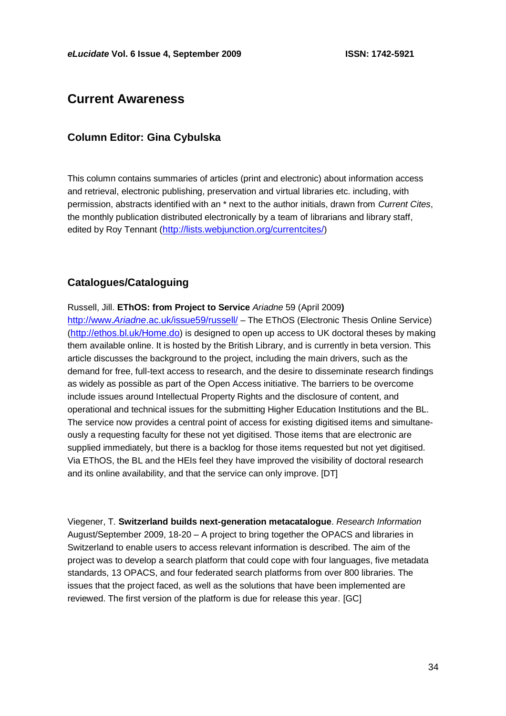# **Current Awareness**

### **Column Editor: Gina Cybulska**

This column contains summaries of articles (print and electronic) about information access and retrieval, electronic publishing, preservation and virtual libraries etc. including, with permission, abstracts identified with an \* next to the author initials, drawn from *Current Cites*, the monthly publication distributed electronically by a team of librarians and library staff, edited by Roy Tennant (<http://lists.webjunction.org/currentcites/>)

# **Catalogues/Cataloguing**

Russell, Jill. **EThOS: from Project to Service** *Ariadne* 59 (April 2009**)** http://www.*Ariadne*[.ac.uk/issue59/russell/](http://www.ariadne.ac.uk/issue59/russell/) – The EThOS (Electronic Thesis Online Service) (<http://ethos.bl.uk/Home.do>) is designed to open up access to UK doctoral theses by making them available online. It is hosted by the British Library, and is currently in beta version. This article discusses the background to the project, including the main drivers, such as the demand for free, full-text access to research, and the desire to disseminate research findings as widely as possible as part of the Open Access initiative. The barriers to be overcome include issues around Intellectual Property Rights and the disclosure of content, and operational and technical issues for the submitting Higher Education Institutions and the BL. The service now provides a central point of access for existing digitised items and simultaneously a requesting faculty for these not yet digitised. Those items that are electronic are supplied immediately, but there is a backlog for those items requested but not yet digitised. Via EThOS, the BL and the HEIs feel they have improved the visibility of doctoral research and its online availability, and that the service can only improve. [DT]

Viegener, T. **Switzerland builds next-generation metacatalogue**. *Research Information*  August/September 2009, 18-20 – A project to bring together the OPACS and libraries in Switzerland to enable users to access relevant information is described. The aim of the project was to develop a search platform that could cope with four languages, five metadata standards, 13 OPACS, and four federated search platforms from over 800 libraries. The issues that the project faced, as well as the solutions that have been implemented are reviewed. The first version of the platform is due for release this year. [GC]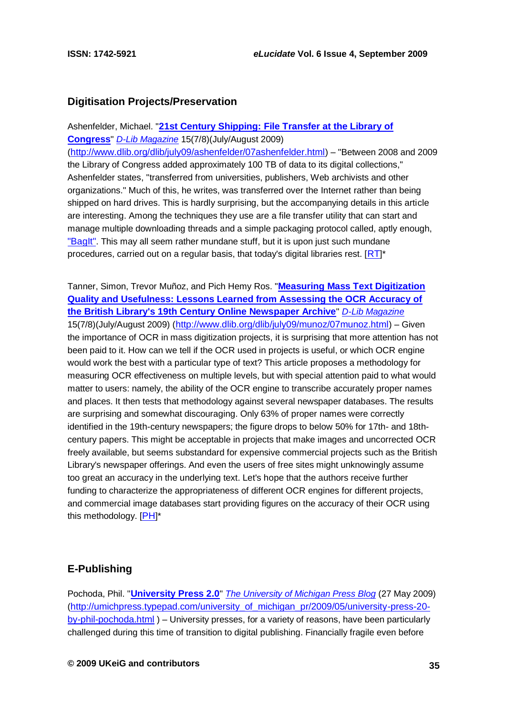### **Digitisation Projects/Preservation**

Ashenfelder, Michael. "**[21st Century Shipping: File Transfer at the Library of](http://www.dlib.org/dlib/july09/ashenfelder/07ashenfelder.html)  [Congress](http://www.dlib.org/dlib/july09/ashenfelder/07ashenfelder.html)**" *[D-Lib Magazine](http://www.dlib.org/)* 15(7/8)(July/August 2009) (<http://www.dlib.org/dlib/july09/ashenfelder/07ashenfelder.html>) – "Between 2008 and 2009 the Library of Congress added approximately 100 TB of data to its digital collections," Ashenfelder states, "transferred from universities, publishers, Web archivists and other organizations." Much of this, he writes, was transferred over the Internet rather than being shipped on hard drives. This is hardly surprising, but the accompanying details in this article are interesting. Among the techniques they use are a file transfer utility that can start and manage multiple downloading threads and a simple packaging protocol called, aptly enough, ["BagIt"](http://www.digitalpreservation.gov/partners/resources/tools/index.html#b). This may all seem rather mundane stuff, but it is upon just such mundane procedures, carried out on a regular basis, that today's digital libraries rest.  $[RT]^*$  $[RT]^*$  $[RT]^*$ 

Tanner, Simon, Trevor Muñoz, and Pich Hemy Ros. "**[Measuring Mass Text Digitization](http://www.dlib.org/dlib/july09/munoz/07munoz.html)  [Quality and Usefulness: Lessons Learned from Assessing the OCR Accuracy of](http://www.dlib.org/dlib/july09/munoz/07munoz.html)  [the British Library's 19th Century Online Newspaper Archive](http://www.dlib.org/dlib/july09/munoz/07munoz.html)**" *[D-Lib Magazine](http://www.dlib.org/)* 15(7/8)(July/August 2009) (<http://www.dlib.org/dlib/july09/munoz/07munoz.html>) – Given the importance of OCR in mass digitization projects, it is surprising that more attention has not been paid to it. How can we tell if the OCR used in projects is useful, or which OCR engine would work the best with a particular type of text? This article proposes a methodology for measuring OCR effectiveness on multiple levels, but with special attention paid to what would matter to users: namely, the ability of the OCR engine to transcribe accurately proper names and places. It then tests that methodology against several newspaper databases. The results are surprising and somewhat discouraging. Only 63% of proper names were correctly identified in the 19th-century newspapers; the figure drops to below 50% for 17th- and 18thcentury papers. This might be acceptable in projects that make images and uncorrected OCR freely available, but seems substandard for expensive commercial projects such as the British Library's newspaper offerings. And even the users of free sites might unknowingly assume too great an accuracy in the underlying text. Let's hope that the authors receive further funding to characterize the appropriateness of different OCR engines for different projects, and commercial image databases start providing figures on the accuracy of their OCR using this methodology. [[PH](http://vivo.cornell.edu/individual/vivo/individual23436)]\*

### **E-Publishing**

Pochoda, Phil. "**[University Press 2.0](http://umichpress.typepad.com/university_of_michigan_pr/2009/05/university-press-20-by-phil-pochoda.html)**" *[The University of Michigan Press Blog](http://umichpress.typepad.com/)* (27 May 2009) ([http://umichpress.typepad.com/university\\_of\\_michigan\\_pr/2009/05/university-press-20](http://umichpress.typepad.com/university_of_michigan_pr/2009/05/university-press-20-by-phil-pochoda.html) [by-phil-pochoda.html](http://umichpress.typepad.com/university_of_michigan_pr/2009/05/university-press-20-by-phil-pochoda.html) ) – University presses, for a variety of reasons, have been particularly challenged during this time of transition to digital publishing. Financially fragile even before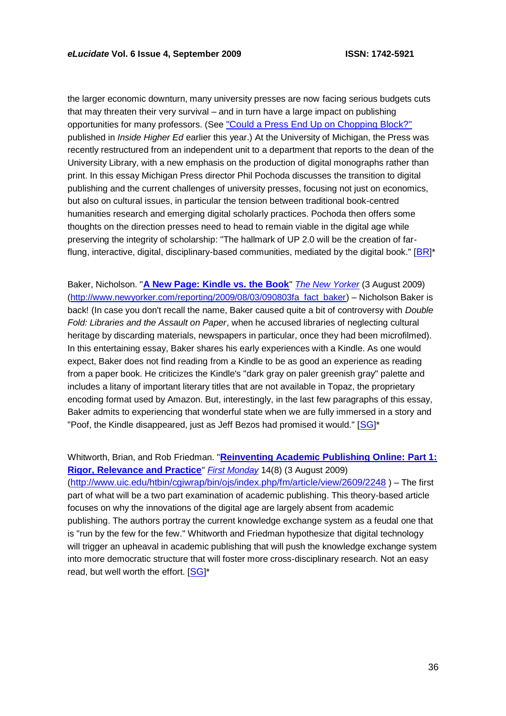the larger economic downturn, many university presses are now facing serious budgets cuts that may threaten their very survival – and in turn have a large impact on publishing opportunities for many professors. (See ["Could a Press End Up on Chopping Block?"](http://www.insidehighered.com/news/2009/01/20/usu) published in *Inside Higher Ed* earlier this year.) At the University of Michigan, the Press was recently restructured from an independent unit to a department that reports to the dean of the University Library, with a new emphasis on the production of digital monographs rather than print. In this essay Michigan Press director Phil Pochoda discusses the transition to digital publishing and the current challenges of university presses, focusing not just on economics, but also on cultural issues, in particular the tension between traditional book-centred humanities research and emerging digital scholarly practices. Pochoda then offers some thoughts on the direction presses need to head to remain viable in the digital age while preserving the integrity of scholarship: "The hallmark of UP 2.0 will be the creation of far-flung, interactive, digital, disciplinary-based communities, mediated by the digital book." [[BR](http://www.educause.edu/Community/MemDir/Profiles/BrianRosenblum/56442)]\*

Baker, Nicholson. "**[A New Page: Kindle vs. the Book](http://www.newyorker.com/reporting/2009/08/03/090803fa_fact_baker)**" *[The New Yorker](http://www.newyorker.com/)* (3 August 2009) [\(http://www.newyorker.com/reporting/2009/08/03/090803fa\\_fact\\_baker\)](http://www.newyorker.com/reporting/2009/08/03/090803fa_fact_baker) – Nicholson Baker is back! (In case you don't recall the name, Baker caused quite a bit of controversy with *Double Fold: Libraries and the Assault on Paper*, when he accused libraries of neglecting cultural heritage by discarding materials, newspapers in particular, once they had been microfilmed). In this entertaining essay, Baker shares his early experiences with a Kindle. As one would expect, Baker does not find reading from a Kindle to be as good an experience as reading from a paper book. He criticizes the Kindle's "dark gray on paler greenish gray" palette and includes a litany of important literary titles that are not available in Topaz, the proprietary encoding format used by Amazon. But, interestingly, in the last few paragraphs of this essay, Baker admits to experiencing that wonderful state when we are fully immersed in a story and "Poof, the Kindle disappeared, just as Jeff Bezos had promised it would." [[SG](http://www.educause.edu/Community/MemDir/Profiles/SusanGibbons/48393)]\*

Whitworth, Brian, and Rob Friedman. "**[Reinventing Academic Publishing Online: Part 1:](http://www.uic.edu/htbin/cgiwrap/bin/ojs/index.php/fm/article/view/2609/2248)  [Rigor, Relevance and Practice](http://www.uic.edu/htbin/cgiwrap/bin/ojs/index.php/fm/article/view/2609/2248)**" *[First Monday](http://firstmonday.org/)* 14(8) (3 August 2009) (<http://www.uic.edu/htbin/cgiwrap/bin/ojs/index.php/fm/article/view/2609/2248> ) – The first part of what will be a two part examination of academic publishing. This theory-based article focuses on why the innovations of the digital age are largely absent from academic publishing. The authors portray the current knowledge exchange system as a feudal one that is "run by the few for the few." Whitworth and Friedman hypothesize that digital technology will trigger an upheaval in academic publishing that will push the knowledge exchange system into more democratic structure that will foster more cross-disciplinary research. Not an easy read, but well worth the effort. [[SG](http://www.educause.edu/Community/MemDir/Profiles/SusanGibbons/48393)]\*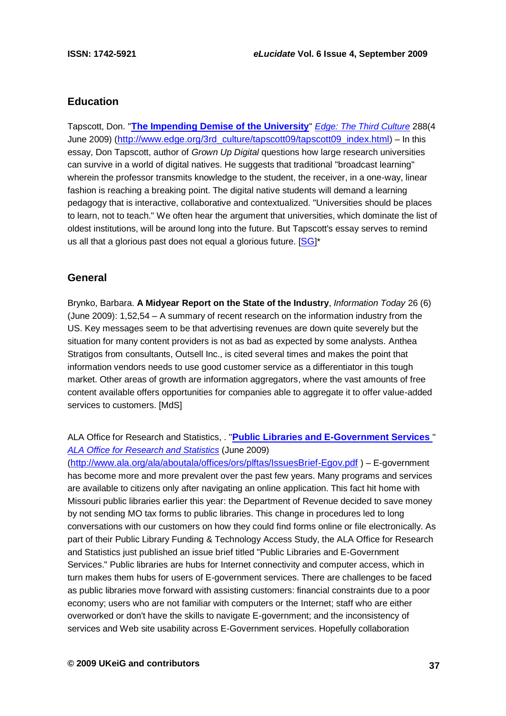### **Education**

Tapscott, Don. "**[The Impending Demise of the University](http://www.edge.org/3rd_culture/tapscott09/tapscott09_index.html)**" *[Edge: The Third Culture](http://www.edge.org/)* 288(4 June 2009) ([http://www.edge.org/3rd\\_culture/tapscott09/tapscott09\\_index.html](http://www.edge.org/3rd_culture/tapscott09/tapscott09_index.html)) – In this essay, Don Tapscott, author of *Grown Up Digital* questions how large research universities can survive in a world of digital natives. He suggests that traditional "broadcast learning" wherein the professor transmits knowledge to the student, the receiver, in a one-way, linear fashion is reaching a breaking point. The digital native students will demand a learning pedagogy that is interactive, collaborative and contextualized. "Universities should be places to learn, not to teach." We often hear the argument that universities, which dominate the list of oldest institutions, will be around long into the future. But Tapscott's essay serves to remind us all that a glorious past does not equal a glorious future.  $[SG]^*$  $[SG]^*$  $[SG]^*$ 

### **General**

Brynko, Barbara. **A Midyear Report on the State of the Industry**, *Information Today* 26 (6) (June 2009): 1,52,54 – A summary of recent research on the information industry from the US. Key messages seem to be that advertising revenues are down quite severely but the situation for many content providers is not as bad as expected by some analysts. Anthea Stratigos from consultants, Outsell Inc., is cited several times and makes the point that information vendors needs to use good customer service as a differentiator in this tough market. Other areas of growth are information aggregators, where the vast amounts of free content available offers opportunities for companies able to aggregate it to offer value-added services to customers. [MdS]

### ALA Office for Research and Statistics, . "**[Public Libraries and E-Government Services](http://www.ala.org/ala/aboutala/offices/ors/plftas/IssuesBrief-Egov.pdf)** " *[ALA Office for Research and Statistics](http://www.ala.org/ala/aboutala/offices/ors/)* (June 2009)

(<http://www.ala.org/ala/aboutala/offices/ors/plftas/IssuesBrief-Egov.pdf> ) – E-government has become more and more prevalent over the past few years. Many programs and services are available to citizens only after navigating an online application. This fact hit home with Missouri public libraries earlier this year: the Department of Revenue decided to save money by not sending MO tax forms to public libraries. This change in procedures led to long conversations with our customers on how they could find forms online or file electronically. As part of their Public Library Funding & Technology Access Study, the ALA Office for Research and Statistics just published an issue brief titled "Public Libraries and E-Government Services." Public libraries are hubs for Internet connectivity and computer access, which in turn makes them hubs for users of E-government services. There are challenges to be faced as public libraries move forward with assisting customers: financial constraints due to a poor economy; users who are not familiar with computers or the Internet; staff who are either overworked or don't have the skills to navigate E-government; and the inconsistency of services and Web site usability across E-Government services. Hopefully collaboration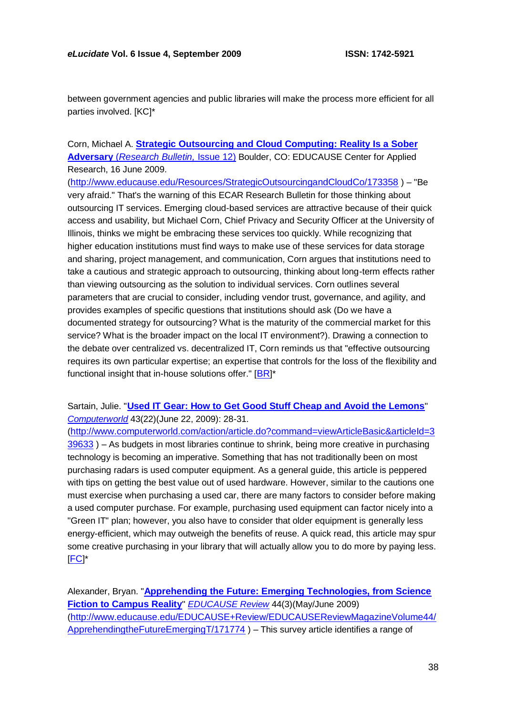between government agencies and public libraries will make the process more efficient for all parties involved. [KC]\*

### Corn, Michael A. **[Strategic Outsourcing and Cloud Computing: Reality Is a Sober](http://www.educause.edu/Resources/StrategicOutsourcingandCloudCo/173358)  Adversary** (*[Research Bulletin,](http://www.educause.edu/Resources/StrategicOutsourcingandCloudCo/173358)* Issue 12[\)](http://www.educause.edu/Resources/StrategicOutsourcingandCloudCo/173358) Boulder, CO: EDUCAUSE Center for Applied Research, 16 June 2009.

(<http://www.educause.edu/Resources/StrategicOutsourcingandCloudCo/173358> ) – "Be very afraid." That's the warning of this ECAR Research Bulletin for those thinking about outsourcing IT services. Emerging cloud-based services are attractive because of their quick access and usability, but Michael Corn, Chief Privacy and Security Officer at the University of Illinois, thinks we might be embracing these services too quickly. While recognizing that higher education institutions must find ways to make use of these services for data storage and sharing, project management, and communication, Corn argues that institutions need to take a cautious and strategic approach to outsourcing, thinking about long-term effects rather than viewing outsourcing as the solution to individual services. Corn outlines several parameters that are crucial to consider, including vendor trust, governance, and agility, and provides examples of specific questions that institutions should ask (Do we have a documented strategy for outsourcing? What is the maturity of the commercial market for this service? What is the broader impact on the local IT environment?). Drawing a connection to the debate over centralized vs. decentralized IT, Corn reminds us that "effective outsourcing requires its own particular expertise; an expertise that controls for the loss of the flexibility and functional insight that in-house solutions offer."  $[BR]^*$  $[BR]^*$  $[BR]^*$ 

Sartain, Julie. "**[Used IT Gear: How to Get Good Stuff Cheap and Avoid the Lemons](http://www.computerworld.com/action/article.do?command=viewArticleBasic&articleId=339633)**" *[Computerworld](http://www.computerworld.com/)* 43(22)(June 22, 2009): 28-31.

([http://www.computerworld.com/action/article.do?command=viewArticleBasic&articleId=3](http://www.computerworld.com/action/article.do?command=viewArticleBasic&articleId=339633) [39633](http://www.computerworld.com/action/article.do?command=viewArticleBasic&articleId=339633) ) – As budgets in most libraries continue to shrink, being more creative in purchasing technology is becoming an imperative. Something that has not traditionally been on most purchasing radars is used computer equipment. As a general guide, this article is peppered with tips on getting the best value out of used hardware. However, similar to the cautions one must exercise when purchasing a used car, there are many factors to consider before making a used computer purchase. For example, purchasing used equipment can factor nicely into a "Green IT" plan; however, you also have to consider that older equipment is generally less energy-efficient, which may outweigh the benefits of reuse. A quick read, this article may spur some creative purchasing in your library that will actually allow you to do more by paying less. [[FC](http://www.cervone.com/)]\*

Alexander, Bryan. "**[Apprehending the Future: Emerging Technologies, from Science](http://www.educause.edu/EDUCAUSE+Review/EDUCAUSEReviewMagazineVolume44/ApprehendingtheFutureEmergingT/171774)  [Fiction to Campus Reality](http://www.educause.edu/EDUCAUSE+Review/EDUCAUSEReviewMagazineVolume44/ApprehendingtheFutureEmergingT/171774)**" *[EDUCAUSE Review](http://www.educause.edu/er/)* 44(3)(May/June 2009) ([http://www.educause.edu/EDUCAUSE+Review/EDUCAUSEReviewMagazineVolume44/](http://www.educause.edu/EDUCAUSE+Review/EDUCAUSEReviewMagazineVolume44/ApprehendingtheFutureEmergingT/171774) [ApprehendingtheFutureEmergingT/171774](http://www.educause.edu/EDUCAUSE+Review/EDUCAUSEReviewMagazineVolume44/ApprehendingtheFutureEmergingT/171774) ) – This survey article identifies a range of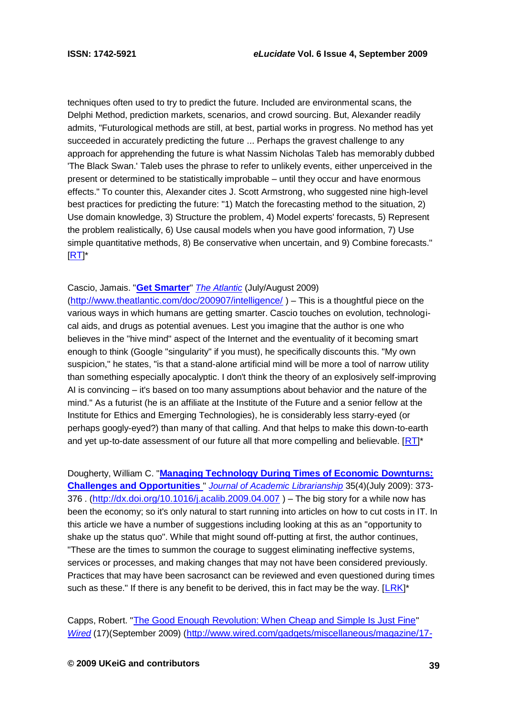techniques often used to try to predict the future. Included are environmental scans, the Delphi Method, prediction markets, scenarios, and crowd sourcing. But, Alexander readily admits, "Futurological methods are still, at best, partial works in progress. No method has yet succeeded in accurately predicting the future ... Perhaps the gravest challenge to any approach for apprehending the future is what Nassim Nicholas Taleb has memorably dubbed 'The Black Swan.' Taleb uses the phrase to refer to unlikely events, either unperceived in the present or determined to be statistically improbable – until they occur and have enormous effects." To counter this, Alexander cites J. Scott Armstrong, who suggested nine high-level best practices for predicting the future: "1) Match the forecasting method to the situation, 2) Use domain knowledge, 3) Structure the problem, 4) Model experts' forecasts, 5) Represent the problem realistically, 6) Use causal models when you have good information, 7) Use simple quantitative methods, 8) Be conservative when uncertain, and 9) Combine forecasts."  $[RT]^*$  $[RT]^*$  $[RT]^*$ 

#### Cascio, Jamais. "**[Get Smarter](http://www.theatlantic.com/doc/200907/intelligence/)**" *[The Atlantic](http://www.theatlantic.com/)* (July/August 2009)

(<http://www.theatlantic.com/doc/200907/intelligence/> ) – This is a thoughtful piece on the various ways in which humans are getting smarter. Cascio touches on evolution, technological aids, and drugs as potential avenues. Lest you imagine that the author is one who believes in the "hive mind" aspect of the Internet and the eventuality of it becoming smart enough to think (Google "singularity" if you must), he specifically discounts this. "My own suspicion," he states, "is that a stand-alone artificial mind will be more a tool of narrow utility than something especially apocalyptic. I don't think the theory of an explosively self-improving AI is convincing – it's based on too many assumptions about behavior and the nature of the mind." As a futurist (he is an affiliate at the Institute of the Future and a senior fellow at the Institute for Ethics and Emerging Technologies), he is considerably less starry-eyed (or perhaps googly-eyed?) than many of that calling. And that helps to make this down-to-earth and yet up-to-date assessment of our future all that more compelling and believable. [[RT](http://roytennant.com/)]\*

Dougherty, William C. "**[Managing Technology During Times of Economic Downturns:](http://dx.doi.org/10.1016/j.acalib.2009.04.007)  [Challenges and Opportunities](http://dx.doi.org/10.1016/j.acalib.2009.04.007)** " *[Journal of Academic Librarianship](http://www.sciencedirect.com/science/journal/00991333)* 35(4)(July 2009): 373 376 . (<http://dx.doi.org/10.1016/j.acalib.2009.04.007>) – The big story for a while now has been the economy; so it's only natural to start running into articles on how to cut costs in IT. In this article we have a number of suggestions including looking at this as an "opportunity to shake up the status quo". While that might sound off-putting at first, the author continues, "These are the times to summon the courage to suggest eliminating ineffective systems, services or processes, and making changes that may not have been considered previously. Practices that may have been sacrosanct can be reviewed and even questioned during times such as these." If there is any benefit to be derived, this in fact may be the way. [[LRK](http://leoklein.com/)]\*

Capps, Robert. "The Good [Enough Revolution: When Cheap and Simple Is Just Fine](http://www.wired.com/gadgets/miscellaneous/magazine/17-09/ff_goodenough?currentPage=all)" *[Wired](http://www.wired.com/)* (17)(September 2009) ([http://www.wired.com/gadgets/miscellaneous/magazine/17-](http://www.wired.com/gadgets/miscellaneous/magazine/17-09/ff_goodenough?currentPage=all)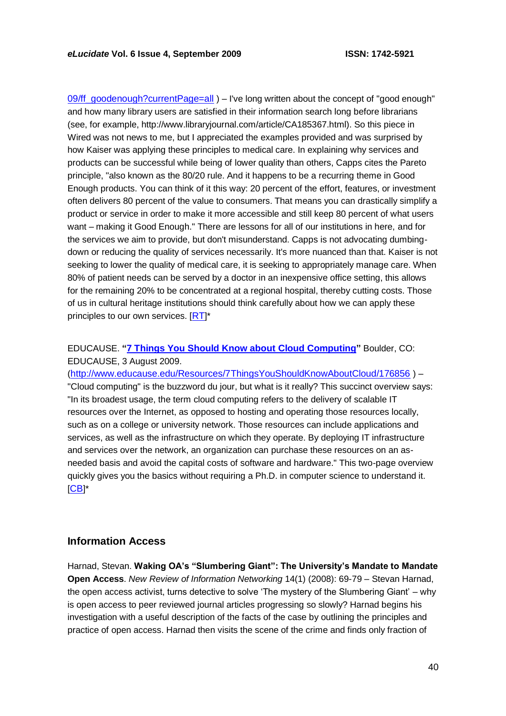09/ff\_goodenough?currentPage=all ) – I've long written about the concept of "good enough" and how many library users are satisfied in their information search long before librarians (see, for example, http://www.libraryjournal.com/article/CA185367.html). So this piece in Wired was not news to me, but I appreciated the examples provided and was surprised by how Kaiser was applying these principles to medical care. In explaining why services and products can be successful while being of lower quality than others, Capps cites the Pareto principle, "also known as the 80/20 rule. And it happens to be a recurring theme in Good Enough products. You can think of it this way: 20 percent of the effort, features, or investment often delivers 80 percent of the value to consumers. That means you can drastically simplify a product or service in order to make it more accessible and still keep 80 percent of what users want – making it Good Enough." There are lessons for all of our institutions in here, and for the services we aim to provide, but don't misunderstand. Capps is not advocating dumbingdown or reducing the quality of services necessarily. It's more nuanced than that. Kaiser is not seeking to lower the quality of medical care, it is seeking to appropriately manage care. When 80% of patient needs can be served by a doctor in an inexpensive office setting, this allows for the remaining 20% to be concentrated at a regional hospital, thereby cutting costs. Those of us in cultural heritage institutions should think carefully about how we can apply these principles to our own services. [[RT](http://roytennant.com/)]\*

EDUCAUSE. **"[7 Things You Should Know about Cloud Computing](http://www.educause.edu/Resources/7ThingsYouShouldKnowAboutCloud/176856)"** Boulder, CO: EDUCAUSE, 3 August 2009.

(<http://www.educause.edu/Resources/7ThingsYouShouldKnowAboutCloud/176856> ) – "Cloud computing" is the buzzword du jour, but what is it really? This succinct overview says: "In its broadest usage, the term cloud computing refers to the delivery of scalable IT resources over the Internet, as opposed to hosting and operating those resources locally, such as on a college or university network. Those resources can include applications and services, as well as the infrastructure on which they operate. By deploying IT infrastructure and services over the network, an organization can purchase these resources on an asneeded basis and avoid the capital costs of software and hardware." This two-page overview quickly gives you the basics without requiring a Ph.D. in computer science to understand it. [[CB](http://www.digital-scholarship.org/)]\*

### **Information Access**

Harnad, Stevan. **Waking OA's "Slumbering Giant": The University's Mandate to Mandate Open Access**. *New Review of Information Networking* 14(1) (2008): 69-79 – Stevan Harnad, the open access activist, turns detective to solve 'The mystery of the Slumbering Giant' – why is open access to peer reviewed journal articles progressing so slowly? Harnad begins his investigation with a useful description of the facts of the case by outlining the principles and practice of open access. Harnad then visits the scene of the crime and finds only fraction of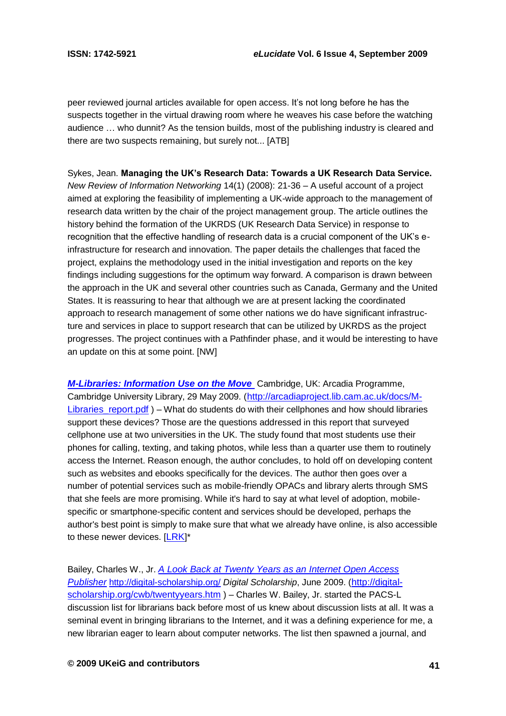peer reviewed journal articles available for open access. It's not long before he has the suspects together in the virtual drawing room where he weaves his case before the watching audience … who dunnit? As the tension builds, most of the publishing industry is cleared and there are two suspects remaining, but surely not... [ATB]

Sykes, Jean. **Managing the UK's Research Data: Towards a UK Research Data Service.** *New Review of Information Networking* 14(1) (2008): 21-36 – A useful account of a project aimed at exploring the feasibility of implementing a UK-wide approach to the management of research data written by the chair of the project management group. The article outlines the history behind the formation of the UKRDS (UK Research Data Service) in response to recognition that the effective handling of research data is a crucial component of the UK's einfrastructure for research and innovation. The paper details the challenges that faced the project, explains the methodology used in the initial investigation and reports on the key findings including suggestions for the optimum way forward. A comparison is drawn between the approach in the UK and several other countries such as Canada, Germany and the United States. It is reassuring to hear that although we are at present lacking the coordinated approach to research management of some other nations we do have significant infrastructure and services in place to support research that can be utilized by UKRDS as the project progresses. The project continues with a Pathfinder phase, and it would be interesting to have an update on this at some point. [NW]

*[M-Libraries: Information Use on the Move](http://arcadiaproject.lib.cam.ac.uk/docs/M-Libraries_report.pdf)* Cambridge, UK: Arcadia Programme, Cambridge University Library, 29 May 2009. ([http://arcadiaproject.lib.cam.ac.uk/docs/M-](http://arcadiaproject.lib.cam.ac.uk/docs/M-Libraries_report.pdf)Libraries report.pdf ) – What do students do with their cellphones and how should libraries support these devices? Those are the questions addressed in this report that surveyed cellphone use at two universities in the UK. The study found that most students use their phones for calling, texting, and taking photos, while less than a quarter use them to routinely access the Internet. Reason enough, the author concludes, to hold off on developing content such as websites and ebooks specifically for the devices. The author then goes over a number of potential services such as mobile-friendly OPACs and library alerts through SMS that she feels are more promising. While it's hard to say at what level of adoption, mobilespecific or smartphone-specific content and services should be developed, perhaps the author's best point is simply to make sure that what we already have online, is also accessible to these newer devices. [[LRK](http://leoklein.com/)]\*

Bailey, Charles W., Jr. *[A Look Back at Twenty Years as an Internet](http://digital-scholarship.org/cwb/twentyyears.htm) Open Access [Publisher](http://digital-scholarship.org/cwb/twentyyears.htm)* <http://digital-scholarship.org/> *Digital Scholarship*, June 2009. ([http://digital](http://digital-scholarship.org/cwb/twentyyears.htm)[scholarship.org/cwb/twentyyears.htm](http://digital-scholarship.org/cwb/twentyyears.htm) ) - Charles W. Bailey, Jr. started the PACS-L discussion list for librarians back before most of us knew about discussion lists at all. It was a seminal event in bringing librarians to the Internet, and it was a defining experience for me, a new librarian eager to learn about computer networks. The list then spawned a journal, and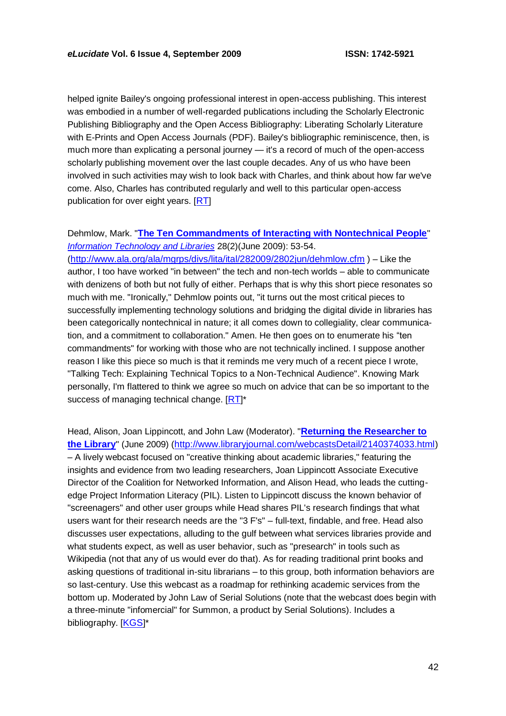helped ignite Bailey's ongoing professional interest in open-access publishing. This interest was embodied in a number of well-regarded publications including the Scholarly Electronic Publishing Bibliography and the Open Access Bibliography: Liberating Scholarly Literature with E-Prints and Open Access Journals (PDF). Bailey's bibliographic reminiscence, then, is much more than explicating a personal journey — it's a record of much of the open-access scholarly publishing movement over the last couple decades. Any of us who have been involved in such activities may wish to look back with Charles, and think about how far we've come. Also, Charles has contributed regularly and well to this particular open-access publication for over eight years. [[RT](http://roytennant.com/)]

#### Dehmlow, Mark. "**[The Ten Commandments of Interacting with Nontechnical People](http://www.ala.org/ala/mgrps/divs/lita/ital/282009/2802jun/dehmlow.cfm)**" *[Information Technology and Libraries](http://lists.webjunction.org/currentcites/2009/cc09.20.6.html)* 28(2)(June 2009): 53-54.

(<http://www.ala.org/ala/mgrps/divs/lita/ital/282009/2802jun/dehmlow.cfm> ) – Like the author, I too have worked "in between" the tech and non-tech worlds – able to communicate with denizens of both but not fully of either. Perhaps that is why this short piece resonates so much with me. "Ironically," Dehmlow points out, "it turns out the most critical pieces to successfully implementing technology solutions and bridging the digital divide in libraries has been categorically nontechnical in nature; it all comes down to collegiality, clear communication, and a commitment to collaboration." Amen. He then goes on to enumerate his "ten commandments" for working with those who are not technically inclined. I suppose another reason I like this piece so much is that it reminds me very much of a recent piece I wrote, "Talking Tech: Explaining Technical Topics to a Non-Technical Audience". Knowing Mark personally, I'm flattered to think we agree so much on advice that can be so important to the success of managing technical change. [[RT](http://roytennant.com/)]\*

Head, Alison, Joan Lippincott, and John Law (Moderator). "**[Returning the Researcher to](http://www.libraryjournal.com/webcastsDetail/2140374033.html)  [the Library](http://www.libraryjournal.com/webcastsDetail/2140374033.html)**" (June 2009) (<http://www.libraryjournal.com/webcastsDetail/2140374033.html>) – A lively webcast focused on "creative thinking about academic libraries," featuring the insights and evidence from two leading researchers, Joan Lippincott Associate Executive Director of the Coalition for Networked Information, and Alison Head, who leads the cuttingedge Project Information Literacy (PIL). Listen to Lippincott discuss the known behavior of "screenagers" and other user groups while Head shares PIL's research findings that what users want for their research needs are the "3 F's" – full-text, findable, and free. Head also discusses user expectations, alluding to the gulf between what services libraries provide and what students expect, as well as user behavior, such as "presearch" in tools such as Wikipedia (not that any of us would ever do that). As for reading traditional print books and asking questions of traditional in-situ librarians – to this group, both information behaviors are so last-century. Use this webcast as a roadmap for rethinking academic services from the bottom up. Moderated by John Law of Serial Solutions (note that the webcast does begin with a three-minute "infomercial" for Summon, a product by Serial Solutions). Includes a bibliography. [[KGS](http://freerangelibrarian.com/)]\*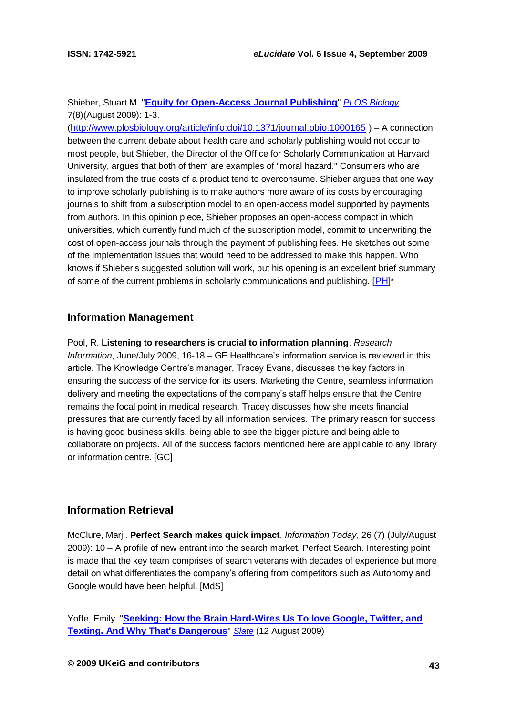### Shieber, Stuart M. "**[Equity for Open-Access Journal Publishing](http://www.plosbiology.org/article/info:doi/10.1371/journal.pbio.1000165)**" *[PLOS Biology](http://www.plosbiology.org/)* 7(8)(August 2009): 1-3.

(<http://www.plosbiology.org/article/info:doi/10.1371/journal.pbio.1000165> ) – A connection between the current debate about health care and scholarly publishing would not occur to most people, but Shieber, the Director of the Office for Scholarly Communication at Harvard University, argues that both of them are examples of "moral hazard." Consumers who are insulated from the true costs of a product tend to overconsume. Shieber argues that one way to improve scholarly publishing is to make authors more aware of its costs by encouraging journals to shift from a subscription model to an open-access model supported by payments from authors. In this opinion piece, Shieber proposes an open-access compact in which universities, which currently fund much of the subscription model, commit to underwriting the cost of open-access journals through the payment of publishing fees. He sketches out some of the implementation issues that would need to be addressed to make this happen. Who knows if Shieber's suggested solution will work, but his opening is an excellent brief summary of some of the current problems in scholarly communications and publishing. [[PH](http://vivo.cornell.edu/individual/vivo/individual23436)]\*

### **Information Management**

Pool, R. **Listening to researchers is crucial to information planning**. *Research Information*, June/July 2009, 16-18 – GE Healthcare's information service is reviewed in this article. The Knowledge Centre's manager, Tracey Evans, discusses the key factors in ensuring the success of the service for its users. Marketing the Centre, seamless information delivery and meeting the expectations of the company's staff helps ensure that the Centre remains the focal point in medical research. Tracey discusses how she meets financial pressures that are currently faced by all information services. The primary reason for success is having good business skills, being able to see the bigger picture and being able to collaborate on projects. All of the success factors mentioned here are applicable to any library or information centre. [GC]

### **Information Retrieval**

McClure, Marji. **Perfect Search makes quick impact**, *Information Today*, 26 (7) (July/August 2009): 10 – A profile of new entrant into the search market, Perfect Search. Interesting point is made that the key team comprises of search veterans with decades of experience but more detail on what differentiates the company's offering from competitors such as Autonomy and Google would have been helpful. [MdS]

Yoffe, Emily. "**[Seeking: How the Brain Hard-Wires Us To love Google, Twitter, and](http://www.slate.com/id/2224932)  [Texting. And Why That's Dangerous](http://www.slate.com/id/2224932)**" *[Slate](http://www.slate.com/)* (12 August 2009)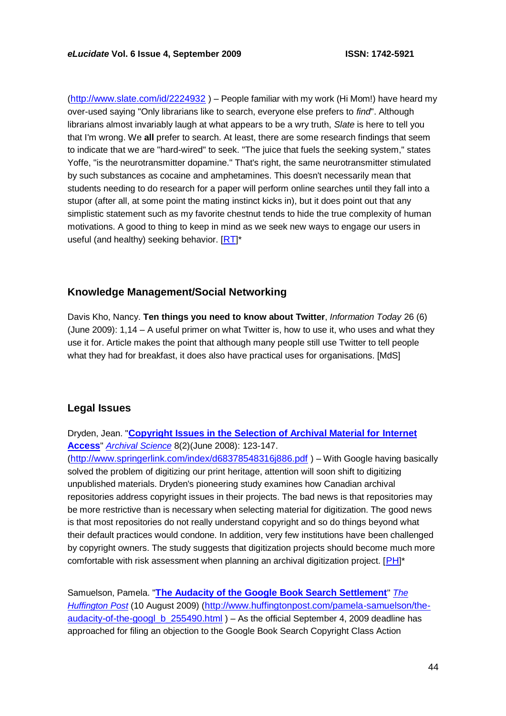(<http://www.slate.com/id/2224932> ) – People familiar with my work (Hi Mom!) have heard my over-used saying "Only librarians like to search, everyone else prefers to *find*". Although librarians almost invariably laugh at what appears to be a wry truth, *Slate* is here to tell you that I'm wrong. We **all** prefer to search. At least, there are some research findings that seem to indicate that we are "hard-wired" to seek. "The juice that fuels the seeking system," states Yoffe, "is the neurotransmitter dopamine." That's right, the same neurotransmitter stimulated by such substances as cocaine and amphetamines. This doesn't necessarily mean that students needing to do research for a paper will perform online searches until they fall into a stupor (after all, at some point the mating instinct kicks in), but it does point out that any simplistic statement such as my favorite chestnut tends to hide the true complexity of human motivations. A good to thing to keep in mind as we seek new ways to engage our users in useful (and healthy) seeking behavior. [[RT](http://roytennant.com/)]\*

# **Knowledge Management/Social Networking**

Davis Kho, Nancy. **Ten things you need to know about Twitter**, *Information Today* 26 (6) (June 2009): 1,14 – A useful primer on what Twitter is, how to use it, who uses and what they use it for. Article makes the point that although many people still use Twitter to tell people what they had for breakfast, it does also have practical uses for organisations. [MdS]

# **Legal Issues**

Dryden, Jean. "**[Copyright Issues in the Selection of Archival Material for Internet](http://www.springerlink.com/index/d68378548316j886.pdf) [Access](http://www.springerlink.com/index/d68378548316j886.pdf)**" *[Archival Science](http://www.springerlink.com/content/1389-0166)* 8(2)(June 2008): 123-147.

(<http://www.springerlink.com/index/d68378548316j886.pdf> ) – With Google having basically solved the problem of digitizing our print heritage, attention will soon shift to digitizing unpublished materials. Dryden's pioneering study examines how Canadian archival repositories address copyright issues in their projects. The bad news is that repositories may be more restrictive than is necessary when selecting material for digitization. The good news is that most repositories do not really understand copyright and so do things beyond what their default practices would condone. In addition, very few institutions have been challenged by copyright owners. The study suggests that digitization projects should become much more comfortable with risk assessment when planning an archival digitization project. [[PH](http://vivo.cornell.edu/individual/vivo/individual23436)]\*

Samuelson, Pamela. "**[The Audacity of the Google Book Search Settlement](http://www.huffingtonpost.com/pamela-samuelson/the-audacity-of-the-googl_b_255490.html)**" *[The](http://www.huffingtonpost.com/)  [Huffington Post](http://www.huffingtonpost.com/)* (10 August 2009) ([http://www.huffingtonpost.com/pamela-samuelson/the](http://www.huffingtonpost.com/pamela-samuelson/the-audacity-of-the-googl_b_255490.html)[audacity-of-the-googl\\_b\\_255490.html](http://www.huffingtonpost.com/pamela-samuelson/the-audacity-of-the-googl_b_255490.html) ) – As the official September 4, 2009 deadline has approached for filing an objection to the Google Book Search Copyright Class Action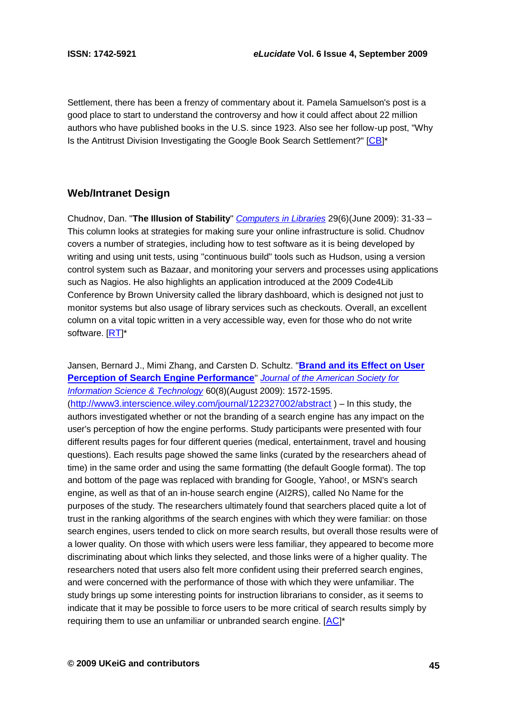Settlement, there has been a frenzy of commentary about it. Pamela Samuelson's post is a good place to start to understand the controversy and how it could affect about 22 million authors who have published books in the U.S. since 1923. Also see her follow-up post, "Why Is the Antitrust Division Investigating the Google Book Search Settlement?" [[CB](http://www.digital-scholarship.org/)]\*

# **Web/Intranet Design**

Chudnov, Dan. "**The Illusion of Stability**" *[Computers in Libraries](http://www.infotoday.com/cilmag/default.shtml)* 29(6)(June 2009): 31-33 – This column looks at strategies for making sure your online infrastructure is solid. Chudnov covers a number of strategies, including how to test software as it is being developed by writing and using unit tests, using "continuous build" tools such as Hudson, using a version control system such as Bazaar, and monitoring your servers and processes using applications such as Nagios. He also highlights an application introduced at the 2009 Code4Lib Conference by Brown University called the library dashboard, which is designed not just to monitor systems but also usage of library services such as checkouts. Overall, an excellent column on a vital topic written in a very accessible way, even for those who do not write software. [[RT](http://roytennant.com/)]\*

Jansen, Bernard J., Mimi Zhang, and Carsten D. Schultz. "**[Brand and its Effect on User](http://www3.interscience.wiley.com/journal/122327002/abstract)  [Perception of Search Engine Performance](http://www3.interscience.wiley.com/journal/122327002/abstract)**" *[Journal of the American Society for](http://www3.interscience.wiley.com/journal/117946195/grouphome/home.html)  [Information Science & Technology](http://www3.interscience.wiley.com/journal/117946195/grouphome/home.html)* 60(8)(August 2009): 1572-1595. (<http://www3.interscience.wiley.com/journal/122327002/abstract> ) – In this study, the authors investigated whether or not the branding of a search engine has any impact on the user's perception of how the engine performs. Study participants were presented with four different results pages for four different queries (medical, entertainment, travel and housing questions). Each results page showed the same links (curated by the researchers ahead of time) in the same order and using the same formatting (the default Google format). The top and bottom of the page was replaced with branding for Google, Yahoo!, or MSN's search engine, as well as that of an in-house search engine (AI2RS), called No Name for the purposes of the study. The researchers ultimately found that searchers placed quite a lot of trust in the ranking algorithms of the search engines with which they were familiar: on those search engines, users tended to click on more search results, but overall those results were of a lower quality. On those with which users were less familiar, they appeared to become more discriminating about which links they selected, and those links were of a higher quality. The researchers noted that users also felt more confident using their preferred search engines, and were concerned with the performance of those with which they were unfamiliar. The study brings up some interesting points for instruction librarians to consider, as it seems to indicate that it may be possible to force users to be more critical of search results simply by requiring them to use an unfamiliar or unbranded search engine.  $[AC]^*$  $[AC]^*$  $[AC]^*$